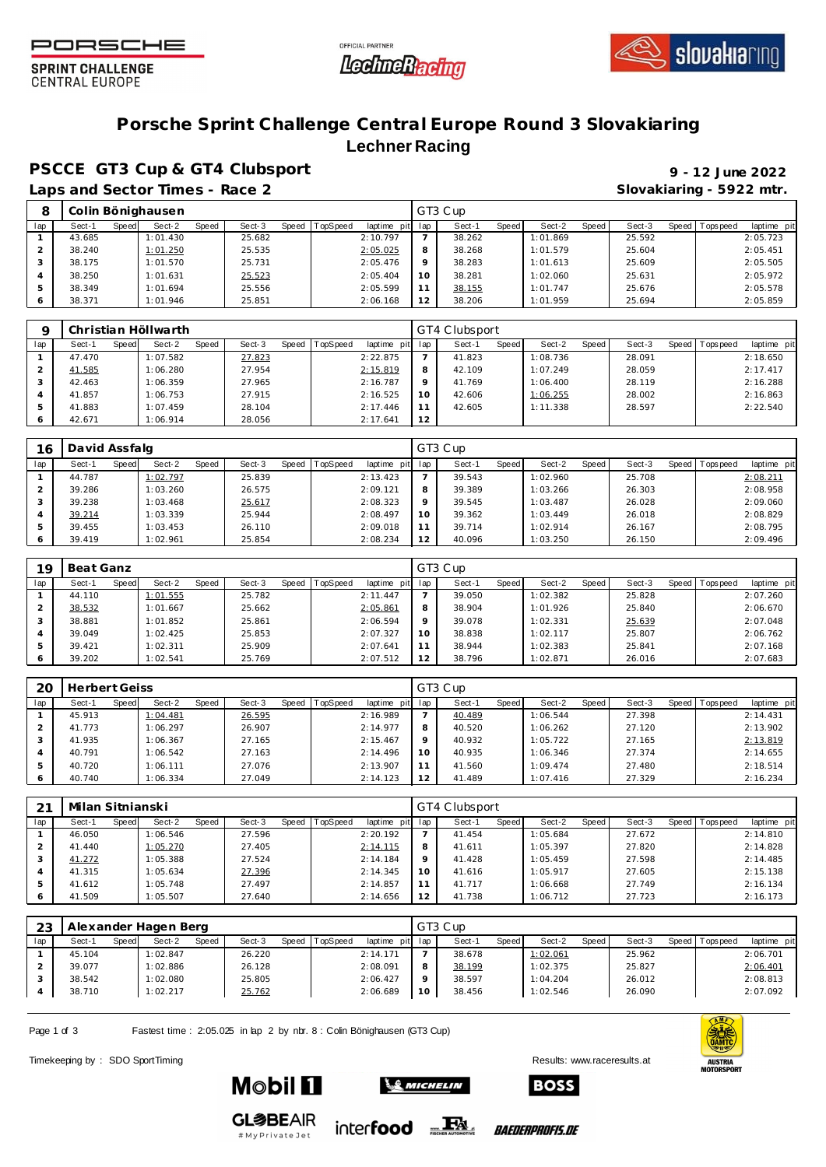





**SPRINT CHALLENGE CENTRAL EUROPE** 

## **Porsche Sprint Challenge Central Europe Round 3 Slovakiaring Lechner Racing**

**PSCCE GT3 Cup & GT4 Clubsport 9 - 12 June 2022**

Laps and Sector Times - Race 2 **Slovakiaring - 5922 mtr.** 

|     |        |       | Colin Bönighausen |       |        |       |                 |                |                   | GT3 Cup |         |          |       |        |       |           |            |
|-----|--------|-------|-------------------|-------|--------|-------|-----------------|----------------|-------------------|---------|---------|----------|-------|--------|-------|-----------|------------|
| lap | Sect-1 | Speed | Sect-2            | Speed | Sect-3 | Speed | <b>TopSpeed</b> | laptime<br>pit | lap               | Sect-1  | Speed I | Sect-2   | Speed | Sect-3 | Speed | Tops peed | laptime pi |
|     | 43.685 |       | 1:01.430          |       | 25.682 |       |                 | 2:10.797       |                   | 38.262  |         | 1:01.869 |       | 25.592 |       |           | 2:05.723   |
|     | 38.240 |       | 1:01.250          |       | 25.535 |       |                 | 2:05.025       |                   | 38.268  |         | 1:01.579 |       | 25.604 |       |           | 2:05.451   |
|     | 38.175 |       | 1:01.570          |       | 25.731 |       |                 | 2:05.476       |                   | 38.283  |         | 1:01.613 |       | 25.609 |       |           | 2:05.505   |
|     | 38.250 |       | 1:01.631          |       | 25.523 |       |                 | 2:05.404       | 10 <sup>°</sup>   | 38.281  |         | 1:02.060 |       | 25.631 |       |           | 2:05.972   |
| 5   | 38.349 |       | 1:01.694          |       | 25.556 |       |                 | 2:05.599       |                   | 38.155  |         | 1:01.747 |       | 25.676 |       |           | 2:05.578   |
|     | 38.371 |       | 1:01.946          |       | 25.851 |       |                 | 2:06.168       | $12 \overline{ }$ | 38.206  |         | 1:01.959 |       | 25.694 |       |           | 2:05.859   |

|     | Christian Höllwarth |                 |                 |                         |     | GT4 Clubsport |              |          |       |        |                |             |
|-----|---------------------|-----------------|-----------------|-------------------------|-----|---------------|--------------|----------|-------|--------|----------------|-------------|
| lap | Speed<br>Sect-1     | Sect-2<br>Speed | Sect-3<br>Speed | TopSpeed<br>laptime pit | lap | Sect-1        | <b>Speed</b> | Sect-2   | Speed | Sect-3 | Speed Topspeed | laptime pit |
|     | 47.470              | 1:07.582        | 27.823          | 2:22.875                |     | 41.823        |              | 1:08.736 |       | 28.091 |                | 2:18.650    |
|     | 41.585              | 1:06.280        | 27.954          | 2:15.819                | 8   | 42.109        |              | 1:07.249 |       | 28.059 |                | 2:17.417    |
| 3   | 42.463              | 1:06.359        | 27.965          | 2:16.787                | 9   | 41.769        |              | 1:06.400 |       | 28.119 |                | 2:16.288    |
|     | 41.857              | 1:06.753        | 27.915          | 2:16.525                | 10  | 42.606        |              | 1:06.255 |       | 28.002 |                | 2:16.863    |
|     | 41.883              | 1:07.459        | 28.104          | 2:17.446                | 11  | 42.605        |              | 1:11.338 |       | 28.597 |                | 2:22.540    |
|     | 42.671              | 1:06.914        | 28.056          | 2:17.641                | 12  |               |              |          |       |        |                |             |

| 16       | David Assfalg |       |          |       |        |       |          |             |         | GT3 Cup |       |          |       |        |       |             |             |
|----------|---------------|-------|----------|-------|--------|-------|----------|-------------|---------|---------|-------|----------|-------|--------|-------|-------------|-------------|
| lap      | Sect-1        | Speed | Sect-2   | Speed | Sect-3 | Speed | TopSpeed | laptime pit | lap     | Sect-   | Speed | Sect-2   | Speed | Sect-3 | Speed | T ops pee d | laptime pit |
|          | 44.787        |       | 1:02.797 |       | 25.839 |       |          | 2:13.423    |         | 39.543  |       | 1:02.960 |       | 25.708 |       |             | 2:08.211    |
|          | 39.286        |       | 1:03.260 |       | 26.575 |       |          | 2:09.121    | 8       | 39.389  |       | 1:03.266 |       | 26.303 |       |             | 2:08.958    |
|          | 39.238        |       | 1:03.468 |       | 25.617 |       |          | 2:08.323    | $\circ$ | 39.545  |       | 1:03.487 |       | 26.028 |       |             | 2:09.060    |
| $\Delta$ | 39.214        |       | 1:03.339 |       | 25.944 |       |          | 2:08.497    | 10      | 39.362  |       | 1:03.449 |       | 26.018 |       |             | 2:08.829    |
|          | 39.455        |       | 1:03.453 |       | 26.110 |       |          | 2:09.018    |         | 39.714  |       | 1:02.914 |       | 26.167 |       |             | 2:08.795    |
|          | 39.419        |       | 1:02.961 |       | 25.854 |       |          | 2:08.234    | 12      | 40.096  |       | 1:03.250 |       | 26.150 |       |             | 2:09.496    |

| 10  | Beat Ganz       |                 |        |                               |                 | GT3 Cup |              |          |       |        |         |            |             |
|-----|-----------------|-----------------|--------|-------------------------------|-----------------|---------|--------------|----------|-------|--------|---------|------------|-------------|
| lap | Sect-1<br>Speed | Sect-2<br>Speed | Sect-3 | Speed TopSpeed<br>laptime pit | lap             | Sect-1  | <b>Speed</b> | Sect-2   | Speed | Sect-3 | Speed I | T ops peed | laptime pit |
|     | 44.110          | 1:01.555        | 25.782 | 2:11.447                      |                 | 39.050  |              | 1:02.382 |       | 25.828 |         |            | 2:07.260    |
|     | 38.532          | 1:01.667        | 25.662 | 2:05.861                      | 8               | 38.904  |              | 1:01.926 |       | 25.840 |         |            | 2:06.670    |
|     | 38.881          | 1:01.852        | 25.861 | 2:06.594                      | $\circ$         | 39.078  |              | 1:02.331 |       | 25.639 |         |            | 2:07.048    |
|     | 39.049          | 1:02.425        | 25.853 | 2:07.327                      | 10 <sup>°</sup> | 38.838  |              | 1:02.117 |       | 25.807 |         |            | 2:06.762    |
| 5   | 39.421          | 1:02.311        | 25.909 | 2:07.641                      |                 | 38.944  |              | 1:02.383 |       | 25.841 |         |            | 2:07.168    |
|     | 39.202          | 1:02.541        | 25.769 | 2:07.512                      | 12              | 38.796  |              | 1:02.871 |       | 26.016 |         |            | 2:07.683    |

| 20  | <b>Herbert Geiss</b> |       |          |       |        |                |             |     | GT3 Cup |       |          |       |        |       |                  |             |
|-----|----------------------|-------|----------|-------|--------|----------------|-------------|-----|---------|-------|----------|-------|--------|-------|------------------|-------------|
| lap | Sect-1               | Speed | Sect-2   | Speed | Sect-3 | Speed TopSpeed | laptime pit | lap | Sect-1  | Speed | Sect-2   | Speed | Sect-3 | Speed | <b>Tops peed</b> | laptime pit |
|     | 45.913               |       | 1:04.481 |       | 26.595 |                | 2:16.989    |     | 40.489  |       | 1:06.544 |       | 27.398 |       |                  | 2:14.431    |
|     | 41.773               |       | 1:06.297 |       | 26.907 |                | 2:14.977    | 8   | 40.520  |       | 1:06.262 |       | 27.120 |       |                  | 2:13.902    |
|     | 41.935               |       | 1:06.367 |       | 27.165 |                | 2:15.467    | Q   | 40.932  |       | 1:05.722 |       | 27.165 |       |                  | 2:13.819    |
| 4   | 40.791               |       | 1:06.542 |       | 27.163 |                | 2:14.496    | 10  | 40.935  |       | 1:06.346 |       | 27.374 |       |                  | 2:14.655    |
|     | 40.720               |       | 1:06.111 |       | 27.076 |                | 2:13.907    | 11  | 41.560  |       | 1:09.474 |       | 27.480 |       |                  | 2:18.514    |
|     | 40.740               |       | 1:06.334 |       | 27.049 |                | 2:14.123    | 12  | 41.489  |       | 1:07.416 |       | 27.329 |       |                  | 2:16.234    |

| 21  | Milan Sitnianski |       |          |       |        |                |             |     | GT4 Clubsport |       |          |       |        |                |             |
|-----|------------------|-------|----------|-------|--------|----------------|-------------|-----|---------------|-------|----------|-------|--------|----------------|-------------|
| lap | Sect-1           | Speed | Sect-2   | Speed | Sect-3 | Speed TopSpeed | laptime pit | lap | Sect-1        | Speed | Sect-2   | Speed | Sect-3 | Speed Topspeed | laptime pit |
|     | 46.050           |       | 1:06.546 |       | 27.596 |                | 2:20.192    |     | 41.454        |       | 1:05.684 |       | 27.672 |                | 2:14.810    |
|     | 41.440           |       | 1:05.270 |       | 27.405 |                | 2:14.115    | 8   | 41.611        |       | 1:05.397 |       | 27.820 |                | 2:14.828    |
| 3   | 41.272           |       | 1:05.388 |       | 27.524 |                | 2:14.184    | Q   | 41.428        |       | 1:05.459 |       | 27.598 |                | 2:14.485    |
|     | 41.315           |       | 1:05.634 |       | 27.396 |                | 2:14.345    | 10  | 41.616        |       | 1:05.917 |       | 27.605 |                | 2:15.138    |
|     | 41.612           |       | 1:05.748 |       | 27.497 |                | 2:14.857    | 11  | 41.717        |       | 1:06.668 |       | 27.749 |                | 2:16.134    |
|     | 41.509           |       | 1:05.507 |       | 27.640 |                | 2:14.656    | 12  | 41.738        |       | 1:06.712 |       | 27.723 |                | 2:16.173    |

| 23  | Alexander Hagen Berg |       |          |       |        |                |                 |                 | GT3 Cup |       |          |       |        |         |                  |             |
|-----|----------------------|-------|----------|-------|--------|----------------|-----------------|-----------------|---------|-------|----------|-------|--------|---------|------------------|-------------|
| lap | Sect-1               | Speed | Sect-2   | Speed | Sect-3 | Speed TopSpeed | laptime pit lap |                 | Sect-'  | Speed | Sect-2   | Speed | Sect-3 | Speed I | <b>Tops peed</b> | laptime pit |
|     | 45.104               |       | 1:02.847 |       | 26.220 |                | 2:14.171        |                 | 38.678  |       | 1:02.061 |       | 25.962 |         |                  | 2:06.701    |
|     | 39.077               |       | 1:02.886 |       | 26.128 |                | 2:08.091        | 8               | 38.199  |       | 1:02.375 |       | 25.827 |         |                  | 2:06.401    |
|     | 38.542               |       | 1:02.080 |       | 25.805 |                | 2:06.427        | $\circ$         | 38.597  |       | 1:04.204 |       | 26.012 |         |                  | 2:08.813    |
|     | 38.710               |       | 1:02.217 |       | 25.762 |                | 2:06.689        | 10 <sup>°</sup> | 38.456  |       | 1:02.546 |       | 26.090 |         |                  | 2:07.092    |
|     |                      |       |          |       |        |                |                 |                 |         |       |          |       |        |         |                  |             |

Page 1 of 3 Fastest time : 2:05.025 in lap 2 by nbr. 8 : Colin Bönighausen (GT3 Cup)

Timekeeping by : SDO SportTiming Results: [www.raceresults.a](www.raceresults.at)t



**GL参BEAIR** #MyPrivateJet

**Mobil 11** 



**SE MICHELIN** 

*BAEDERPROFIS.DE* 

**BOSS**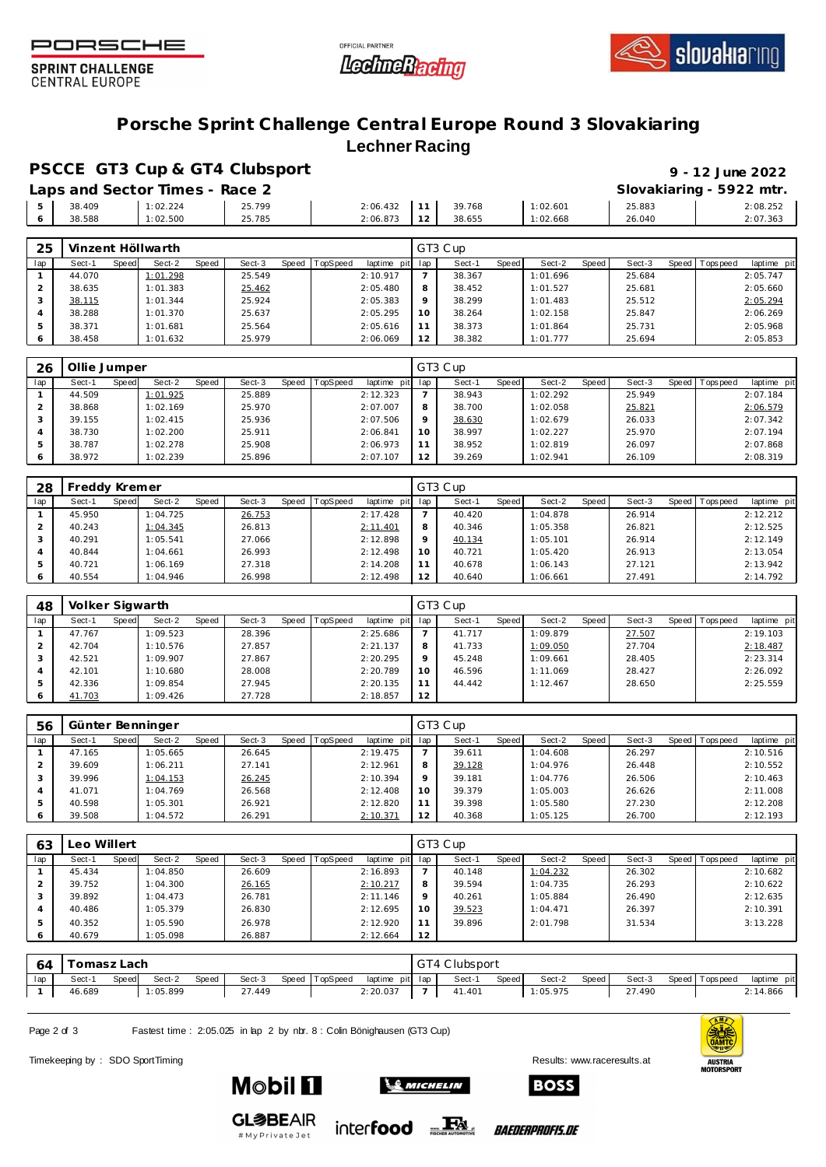





**SPRINT CHALLENGE CENTRAL EUROPE** 

## **Porsche Sprint Challenge Central Europe Round 3 Slovakiaring Lechner Racing**

**PSCCE GT3 Cup & GT4 Clubsport 9 - 12 June 2022**

|    |        | Laps and Sector Times - Race 2 |        |          |        |          |        | Slovakiaring - 5922 mtr. |
|----|--------|--------------------------------|--------|----------|--------|----------|--------|--------------------------|
| -5 | 38.409 | 1:02.224                       | 25.799 | 2:06.432 | 39.768 | 1:02.601 | 25.883 | 2:08.252                 |
|    | 38.588 | 1:02.500                       | 25.785 | 2:06.873 | 38.655 | 1:02.668 | 26.040 | 2:07.363                 |

| 25  | Vinzent Höllwarth |       |          |       |        |       |          |                 |         | GT3 Cup |       |          |       |        |                 |             |
|-----|-------------------|-------|----------|-------|--------|-------|----------|-----------------|---------|---------|-------|----------|-------|--------|-----------------|-------------|
| lap | Sect-1            | Speed | Sect-2   | Speed | Sect-3 | Speed | TopSpeed | laptime pit lap |         | Sect-1  | Speed | Sect-2   | Speed | Sect-3 | Speed Tops peed | laptime pit |
|     | 44.070            |       | 1:01.298 |       | 25.549 |       |          | 2:10.917        |         | 38.367  |       | 1:01.696 |       | 25.684 |                 | 2:05.747    |
|     | 38.635            |       | 1:01.383 |       | 25.462 |       |          | 2:05.480        | 8       | 38.452  |       | 1:01.527 |       | 25.681 |                 | 2:05.660    |
|     | 38.115            |       | 1:01.344 |       | 25.924 |       |          | 2:05.383        | $\circ$ | 38.299  |       | 1:01.483 |       | 25.512 |                 | 2:05.294    |
|     | 38.288            |       | 1:01.370 |       | 25.637 |       |          | 2:05.295        | 10      | 38.264  |       | 1:02.158 |       | 25.847 |                 | 2:06.269    |
|     | 38.371            |       | 1:01.681 |       | 25.564 |       |          | 2:05.616        |         | 38.373  |       | 1:01.864 |       | 25.731 |                 | 2:05.968    |
|     | 38.458            |       | 1:01.632 |       | 25.979 |       |          | 2:06.069        | 12      | 38.382  |       | 1:01.777 |       | 25.694 |                 | 2:05.853    |

| 26  | Ollie Jumper |       |          |              |        |       |          |             |          | GT3 Cup |              |          |       |        |                 |             |
|-----|--------------|-------|----------|--------------|--------|-------|----------|-------------|----------|---------|--------------|----------|-------|--------|-----------------|-------------|
| lap | Sect-1       | Speed | Sect-2   | <b>Speed</b> | Sect-3 | Speed | TopSpeed | laptime pit | lap      | Sect-1  | <b>Speed</b> | Sect-2   | Speed | Sect-3 | Speed Tops peed | laptime pit |
|     | 44.509       |       | 1:01.925 |              | 25.889 |       |          | 2:12.323    |          | 38.943  |              | 1:02.292 |       | 25.949 |                 | 2:07.184    |
|     | 38.868       |       | 1:02.169 |              | 25.970 |       |          | 2:07.007    | 8        | 38.700  |              | 1:02.058 |       | 25.821 |                 | 2:06.579    |
|     | 39.155       |       | 1:02.415 |              | 25.936 |       |          | 2:07.506    | $\Omega$ | 38.630  |              | 1:02.679 |       | 26.033 |                 | 2:07.342    |
| 4   | 38.730       |       | 1:02.200 |              | 25.911 |       |          | 2:06.841    | 10       | 38.997  |              | 1:02.227 |       | 25.970 |                 | 2:07.194    |
|     | 38.787       |       | 1:02.278 |              | 25.908 |       |          | 2:06.973    |          | 38.952  |              | 1:02.819 |       | 26.097 |                 | 2:07.868    |
|     | 38.972       |       | 1:02.239 |              | 25.896 |       |          | 2:07.107    | 12       | 39.269  |              | 1:02.941 |       | 26.109 |                 | 2:08.319    |

| 28            | Freddy Kremer |       |          |              |        |       |                 |                |              | GT3 Cup |       |          |       |        |       |            |             |
|---------------|---------------|-------|----------|--------------|--------|-------|-----------------|----------------|--------------|---------|-------|----------|-------|--------|-------|------------|-------------|
| lap           | Sect-1        | Speed | Sect-2   | <b>Speed</b> | Sect-3 | Speed | <b>TopSpeed</b> | laptime<br>pit | lap          | Sect-1  | Speed | Sect-2   | Speed | Sect-3 | Speed | Tops pee d | laptime pit |
|               | 45.950        |       | 1:04.725 |              | 26.753 |       |                 | 2:17.428       |              | 40.420  |       | 1:04.878 |       | 26.914 |       |            | 2:12.212    |
|               | 40.243        |       | 1:04.345 |              | 26.813 |       |                 | 2:11.401       | $\circ$<br>Õ | 40.346  |       | 1:05.358 |       | 26.821 |       |            | 2:12.525    |
|               | 40.291        |       | 1:05.541 |              | 27.066 |       |                 | 2:12.898       | $\circ$      | 40.134  |       | 1:05.101 |       | 26.914 |       |            | 2:12.149    |
|               | 40.844        |       | 1:04.661 |              | 26.993 |       |                 | 2:12.498       | 10           | 40.721  |       | 1:05.420 |       | 26.913 |       |            | 2:13.054    |
| $\mathcal{P}$ | 40.721        |       | 1:06.169 |              | 27.318 |       |                 | 2:14.208       |              | 40.678  |       | 1:06.143 |       | 27.121 |       |            | 2:13.942    |
|               | 40.554        |       | 1:04.946 |              | 26.998 |       |                 | 2:12.498       | 12           | 40.640  |       | 1:06.661 |       | 27.491 |       |            | 2:14.792    |

| 48  | Volker Sigwarth |       |          |              |        |       |          |             |         | GT3 Cup |       |          |       |        |         |           |             |
|-----|-----------------|-------|----------|--------------|--------|-------|----------|-------------|---------|---------|-------|----------|-------|--------|---------|-----------|-------------|
| lap | Sect-1          | Speed | Sect-2   | <b>Speed</b> | Sect-3 | Speed | TopSpeed | laptime pit | lap     | Sect-1  | Speed | Sect-2   | Speed | Sect-3 | Speed I | Tops peed | laptime pit |
|     | 47.767          |       | 1:09.523 |              | 28.396 |       |          | 2:25.686    |         | 41.717  |       | 1:09.879 |       | 27.507 |         |           | 2:19.103    |
|     | 42.704          |       | 1:10.576 |              | 27.857 |       |          | 2:21.137    |         | 41.733  |       | 1:09.050 |       | 27.704 |         |           | 2:18.487    |
|     | 42.521          |       | 1:09.907 |              | 27.867 |       |          | 2:20.295    | $\circ$ | 45.248  |       | 1:09.661 |       | 28.405 |         |           | 2:23.314    |
| 4   | 42.101          |       | 1:10.680 |              | 28.008 |       |          | 2:20.789    | 10      | 46.596  |       | 1:11.069 |       | 28.427 |         |           | 2:26.092    |
|     | 42.336          |       | 1:09.854 |              | 27.945 |       |          | 2:20.135    |         | 44.442  |       | 1:12.467 |       | 28.650 |         |           | 2:25.559    |
| 6   | 41.703          |       | 1:09.426 |              | 27.728 |       |          | 2:18.857    | 12      |         |       |          |       |        |         |           |             |

| 56  | Günter Benninger |       |          |       |        |       |          |                 |         | GT3 Cup |              |          |       |        |  |                 |             |  |  |  |
|-----|------------------|-------|----------|-------|--------|-------|----------|-----------------|---------|---------|--------------|----------|-------|--------|--|-----------------|-------------|--|--|--|
| lap | Sect-1           | Speed | Sect-2   | Speed | Sect-3 | Speed | TopSpeed | laptime pit lap |         | Sect-1  | <b>Speed</b> | Sect-2   | Speed | Sect-3 |  | Speed Tops peed | laptime pit |  |  |  |
|     | 47.165           |       | 1:05.665 |       | 26.645 |       |          | 2:19.475        |         | 39.611  |              | 1:04.608 |       | 26.297 |  |                 | 2:10.516    |  |  |  |
|     | 39.609           |       | 1:06.211 |       | 27.141 |       |          | 2:12.961        | 8       | 39.128  |              | 1:04.976 |       | 26.448 |  |                 | 2:10.552    |  |  |  |
|     | 39.996           |       | 1:04.153 |       | 26.245 |       |          | 2:10.394        | $\circ$ | 39.181  |              | 1:04.776 |       | 26.506 |  |                 | 2:10.463    |  |  |  |
| 4   | 41.071           |       | 1:04.769 |       | 26.568 |       |          | 2:12.408        | 10      | 39.379  |              | 1:05.003 |       | 26.626 |  |                 | 2:11.008    |  |  |  |
| 5   | 40.598           |       | 1:05.301 |       | 26.921 |       |          | 2:12.820        | 11      | 39.398  |              | 1:05.580 |       | 27.230 |  |                 | 2:12.208    |  |  |  |
| 6   | 39.508           |       | 1:04.572 |       | 26.291 |       |          | 2:10.371        | 12      | 40.368  |              | 1:05.125 |       | 26.700 |  |                 | 2:12.193    |  |  |  |

| 63  | eo Willert |              |          |       |        |       |          |                 |         | GT3 Cup |       |          |       |        |  |                |             |  |  |  |
|-----|------------|--------------|----------|-------|--------|-------|----------|-----------------|---------|---------|-------|----------|-------|--------|--|----------------|-------------|--|--|--|
| lap | Sect-1     | <b>Speed</b> | Sect-2   | Speed | Sect-3 | Speed | TopSpeed | laptime pit lap |         | Sect-1  | Speed | Sect-2   | Speed | Sect-3 |  | Speed Topspeed | laptime pit |  |  |  |
|     | 45.434     |              | 1:04.850 |       | 26.609 |       |          | 2:16.893        |         | 40.148  |       | 1:04.232 |       | 26.302 |  |                | 2:10.682    |  |  |  |
|     | 39.752     |              | 1:04.300 |       | 26.165 |       |          | 2:10.217        | 8       | 39.594  |       | 1:04.735 |       | 26.293 |  |                | 2:10.622    |  |  |  |
| 3   | 39.892     |              | 1:04.473 |       | 26.781 |       |          | 2:11.146        | $\circ$ | 40.261  |       | 1:05.884 |       | 26.490 |  |                | 2:12.635    |  |  |  |
| 4   | 40.486     |              | 1:05.379 |       | 26.830 |       |          | 2:12.695        | 10      | 39.523  |       | 1:04.471 |       | 26.397 |  |                | 2:10.391    |  |  |  |
| 5   | 40.352     |              | 1:05.590 |       | 26.978 |       |          | 2:12.920        | 11      | 39.896  |       | 2:01.798 |       | 31.534 |  |                | 3:13.228    |  |  |  |
| 6   | 40.679     |              | 1:05.098 |       | 26.887 |       |          | 2:12.664        | 12      |         |       |          |       |        |  |                |             |  |  |  |

| -64 | Fomasz Lach |       |          |       |        |  |                |                 |  | GT4 Clubsport |       |          |       |        |  |                   |             |  |  |
|-----|-------------|-------|----------|-------|--------|--|----------------|-----------------|--|---------------|-------|----------|-------|--------|--|-------------------|-------------|--|--|
| lap | Sect-1      | Speed | Sect-2   | Speed | Sect-3 |  | Speed TopSpeed | laptime pit lap |  | Sect-1        | Speed | Sect-2   | Speed | Sect-3 |  | Speed   Tops peed | laptime pit |  |  |
|     | 46.689      |       | 1:05.899 |       | 27.449 |  |                | 2:20.037        |  | 41.401        |       | 1:05.975 |       | 27.490 |  |                   | 2:14.866    |  |  |

**SO MICHELIN** 

inter**food** FALL

Page 2 of 3 Fastest time : 2:05.025 in lap 2 by nbr. 8 : Colin Bönighausen (GT3 Cup)

**GL参BEAIR** 

#MyPrivateJet

Timekeeping by : SDO SportTiming Results: [www.raceresults.a](www.raceresults.at)t







*BAEDERPROFIS.DE*